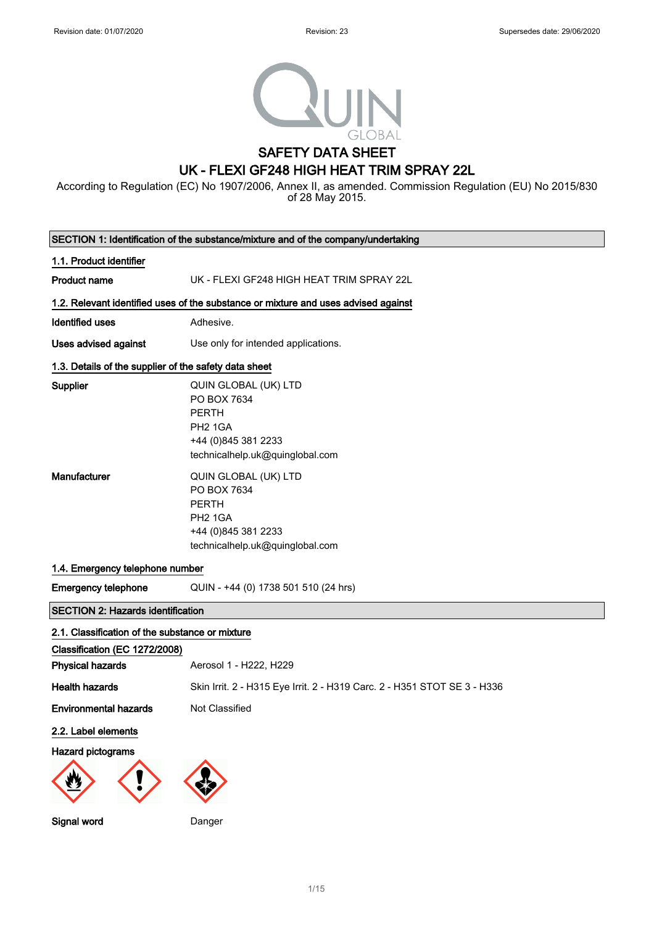

# SAFETY DATA SHEET

# UK - FLEXI GF248 HIGH HEAT TRIM SPRAY 22L

According to Regulation (EC) No 1907/2006, Annex II, as amended. Commission Regulation (EU) No 2015/830 of 28 May 2015.

|                                                                                                             | SECTION 1: Identification of the substance/mixture and of the company/undertaking                                                     |
|-------------------------------------------------------------------------------------------------------------|---------------------------------------------------------------------------------------------------------------------------------------|
| 1.1. Product identifier                                                                                     |                                                                                                                                       |
| <b>Product name</b>                                                                                         | UK - FLEXI GF248 HIGH HEAT TRIM SPRAY 22L                                                                                             |
|                                                                                                             | 1.2. Relevant identified uses of the substance or mixture and uses advised against                                                    |
| <b>Identified uses</b>                                                                                      | Adhesive.                                                                                                                             |
| <b>Uses advised against</b>                                                                                 | Use only for intended applications.                                                                                                   |
| 1.3. Details of the supplier of the safety data sheet                                                       |                                                                                                                                       |
| Supplier                                                                                                    | QUIN GLOBAL (UK) LTD<br>PO BOX 7634<br><b>PERTH</b><br><b>PH2 1GA</b><br>+44 (0) 845 381 2233<br>technicalhelp.uk@quinglobal.com      |
| Manufacturer                                                                                                | QUIN GLOBAL (UK) LTD<br>PO BOX 7634<br><b>PERTH</b><br>PH <sub>2</sub> 1GA<br>+44 (0) 845 381 2233<br>technicalhelp.uk@quinglobal.com |
| 1.4. Emergency telephone number                                                                             |                                                                                                                                       |
| <b>Emergency telephone</b>                                                                                  | QUIN - +44 (0) 1738 501 510 (24 hrs)                                                                                                  |
| <b>SECTION 2: Hazards identification</b>                                                                    |                                                                                                                                       |
| 2.1. Classification of the substance or mixture<br>Classification (EC 1272/2008)<br><b>Physical hazards</b> | Aerosol 1 - H222, H229                                                                                                                |
| <b>Health hazards</b>                                                                                       | Skin Irrit. 2 - H315 Eye Irrit. 2 - H319 Carc. 2 - H351 STOT SE 3 - H336                                                              |
| <b>Environmental hazards</b>                                                                                | Not Classified                                                                                                                        |
| 2.2. Label elements<br>Hazard pictograms                                                                    |                                                                                                                                       |
| Signal word                                                                                                 | Danger                                                                                                                                |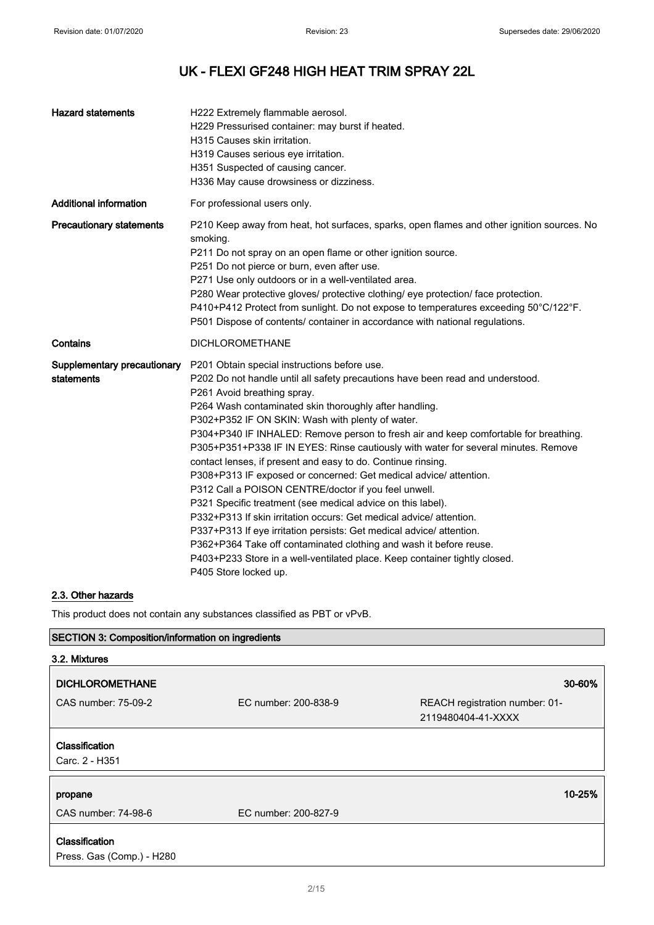| <b>Hazard statements</b>                  | H222 Extremely flammable aerosol.<br>H229 Pressurised container: may burst if heated.<br>H315 Causes skin irritation.<br>H319 Causes serious eye irritation.<br>H351 Suspected of causing cancer.<br>H336 May cause drowsiness or dizziness.                                                                                                                                                                                                                                                                                                                                                                                                                                                                                                                                                                                                                                                                                                                                                                                                     |
|-------------------------------------------|--------------------------------------------------------------------------------------------------------------------------------------------------------------------------------------------------------------------------------------------------------------------------------------------------------------------------------------------------------------------------------------------------------------------------------------------------------------------------------------------------------------------------------------------------------------------------------------------------------------------------------------------------------------------------------------------------------------------------------------------------------------------------------------------------------------------------------------------------------------------------------------------------------------------------------------------------------------------------------------------------------------------------------------------------|
| <b>Additional information</b>             | For professional users only.                                                                                                                                                                                                                                                                                                                                                                                                                                                                                                                                                                                                                                                                                                                                                                                                                                                                                                                                                                                                                     |
| <b>Precautionary statements</b>           | P210 Keep away from heat, hot surfaces, sparks, open flames and other ignition sources. No<br>smoking.<br>P211 Do not spray on an open flame or other ignition source.<br>P251 Do not pierce or burn, even after use.<br>P271 Use only outdoors or in a well-ventilated area.<br>P280 Wear protective gloves/ protective clothing/ eye protection/ face protection.<br>P410+P412 Protect from sunlight. Do not expose to temperatures exceeding 50°C/122°F.<br>P501 Dispose of contents/ container in accordance with national regulations.                                                                                                                                                                                                                                                                                                                                                                                                                                                                                                      |
| Contains                                  | <b>DICHLOROMETHANE</b>                                                                                                                                                                                                                                                                                                                                                                                                                                                                                                                                                                                                                                                                                                                                                                                                                                                                                                                                                                                                                           |
| Supplementary precautionary<br>statements | P201 Obtain special instructions before use.<br>P202 Do not handle until all safety precautions have been read and understood.<br>P261 Avoid breathing spray.<br>P264 Wash contaminated skin thoroughly after handling.<br>P302+P352 IF ON SKIN: Wash with plenty of water.<br>P304+P340 IF INHALED: Remove person to fresh air and keep comfortable for breathing.<br>P305+P351+P338 IF IN EYES: Rinse cautiously with water for several minutes. Remove<br>contact lenses, if present and easy to do. Continue rinsing.<br>P308+P313 IF exposed or concerned: Get medical advice/attention.<br>P312 Call a POISON CENTRE/doctor if you feel unwell.<br>P321 Specific treatment (see medical advice on this label).<br>P332+P313 If skin irritation occurs: Get medical advice/ attention.<br>P337+P313 If eye irritation persists: Get medical advice/ attention.<br>P362+P364 Take off contaminated clothing and wash it before reuse.<br>P403+P233 Store in a well-ventilated place. Keep container tightly closed.<br>P405 Store locked up. |

## 2.3. Other hazards

This product does not contain any substances classified as PBT or vPvB.

## SECTION 3: Composition/information on ingredients

| 3.2. Mixtures                               |                      |                                                      |
|---------------------------------------------|----------------------|------------------------------------------------------|
| <b>DICHLOROMETHANE</b>                      |                      | 30-60%                                               |
| CAS number: 75-09-2                         | EC number: 200-838-9 | REACH registration number: 01-<br>2119480404-41-XXXX |
| Classification<br>Carc. 2 - H351            |                      |                                                      |
| propane                                     |                      | 10-25%                                               |
| CAS number: 74-98-6                         | EC number: 200-827-9 |                                                      |
| Classification<br>Press. Gas (Comp.) - H280 |                      |                                                      |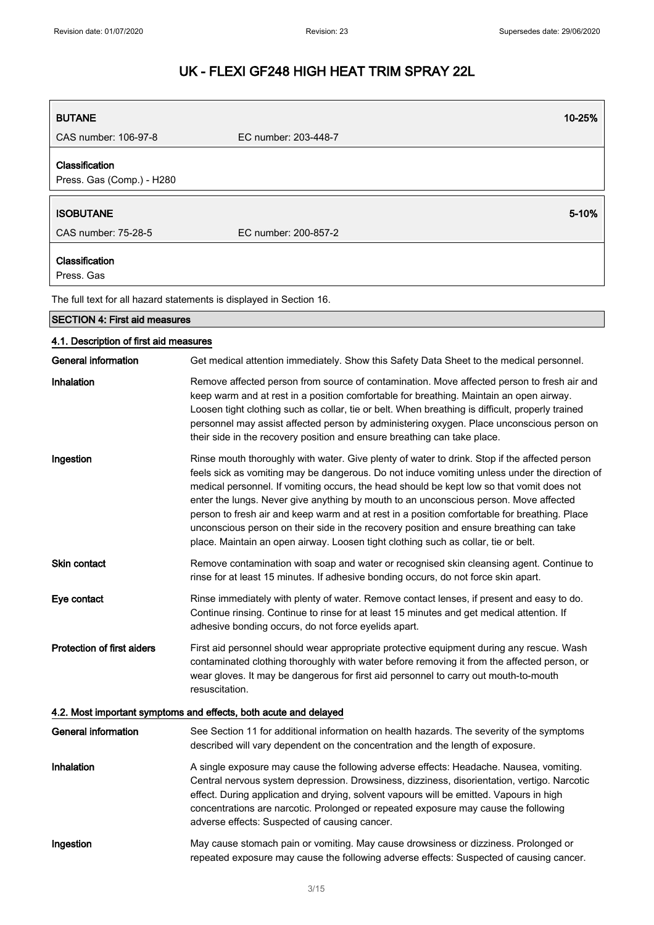| <b>BUTANE</b>                               | 10-25%                                                                                                                                                                                                                                                                                                                                                                                                                                                                                                                                                                                                                                                                |
|---------------------------------------------|-----------------------------------------------------------------------------------------------------------------------------------------------------------------------------------------------------------------------------------------------------------------------------------------------------------------------------------------------------------------------------------------------------------------------------------------------------------------------------------------------------------------------------------------------------------------------------------------------------------------------------------------------------------------------|
| CAS number: 106-97-8                        | EC number: 203-448-7                                                                                                                                                                                                                                                                                                                                                                                                                                                                                                                                                                                                                                                  |
| Classification<br>Press. Gas (Comp.) - H280 |                                                                                                                                                                                                                                                                                                                                                                                                                                                                                                                                                                                                                                                                       |
| <b>ISOBUTANE</b>                            | 5-10%                                                                                                                                                                                                                                                                                                                                                                                                                                                                                                                                                                                                                                                                 |
| CAS number: 75-28-5                         | EC number: 200-857-2                                                                                                                                                                                                                                                                                                                                                                                                                                                                                                                                                                                                                                                  |
| Classification<br>Press, Gas                |                                                                                                                                                                                                                                                                                                                                                                                                                                                                                                                                                                                                                                                                       |
|                                             | The full text for all hazard statements is displayed in Section 16.                                                                                                                                                                                                                                                                                                                                                                                                                                                                                                                                                                                                   |
| <b>SECTION 4: First aid measures</b>        |                                                                                                                                                                                                                                                                                                                                                                                                                                                                                                                                                                                                                                                                       |
| 4.1. Description of first aid measures      |                                                                                                                                                                                                                                                                                                                                                                                                                                                                                                                                                                                                                                                                       |
| General information                         | Get medical attention immediately. Show this Safety Data Sheet to the medical personnel.                                                                                                                                                                                                                                                                                                                                                                                                                                                                                                                                                                              |
| Inhalation                                  | Remove affected person from source of contamination. Move affected person to fresh air and<br>keep warm and at rest in a position comfortable for breathing. Maintain an open airway.<br>Loosen tight clothing such as collar, tie or belt. When breathing is difficult, properly trained<br>personnel may assist affected person by administering oxygen. Place unconscious person on<br>their side in the recovery position and ensure breathing can take place.                                                                                                                                                                                                    |
| Ingestion                                   | Rinse mouth thoroughly with water. Give plenty of water to drink. Stop if the affected person<br>feels sick as vomiting may be dangerous. Do not induce vomiting unless under the direction of<br>medical personnel. If vomiting occurs, the head should be kept low so that vomit does not<br>enter the lungs. Never give anything by mouth to an unconscious person. Move affected<br>person to fresh air and keep warm and at rest in a position comfortable for breathing. Place<br>unconscious person on their side in the recovery position and ensure breathing can take<br>place. Maintain an open airway. Loosen tight clothing such as collar, tie or belt. |
| <b>Skin contact</b>                         | Remove contamination with soap and water or recognised skin cleansing agent. Continue to<br>rinse for at least 15 minutes. If adhesive bonding occurs, do not force skin apart.                                                                                                                                                                                                                                                                                                                                                                                                                                                                                       |
| Eye contact                                 | Rinse immediately with plenty of water. Remove contact lenses, if present and easy to do.<br>Continue rinsing. Continue to rinse for at least 15 minutes and get medical attention. If<br>adhesive bonding occurs, do not force eyelids apart.                                                                                                                                                                                                                                                                                                                                                                                                                        |
| <b>Protection of first aiders</b>           | First aid personnel should wear appropriate protective equipment during any rescue. Wash<br>contaminated clothing thoroughly with water before removing it from the affected person, or<br>wear gloves. It may be dangerous for first aid personnel to carry out mouth-to-mouth<br>resuscitation.                                                                                                                                                                                                                                                                                                                                                                     |
|                                             | 4.2. Most important symptoms and effects, both acute and delayed                                                                                                                                                                                                                                                                                                                                                                                                                                                                                                                                                                                                      |
| <b>General information</b>                  | See Section 11 for additional information on health hazards. The severity of the symptoms<br>described will vary dependent on the concentration and the length of exposure.                                                                                                                                                                                                                                                                                                                                                                                                                                                                                           |
| Inhalation                                  | A single exposure may cause the following adverse effects: Headache. Nausea, vomiting.<br>Central nervous system depression. Drowsiness, dizziness, disorientation, vertigo. Narcotic<br>effect. During application and drying, solvent vapours will be emitted. Vapours in high<br>concentrations are narcotic. Prolonged or repeated exposure may cause the following<br>adverse effects: Suspected of causing cancer.                                                                                                                                                                                                                                              |
| Ingestion                                   | May cause stomach pain or vomiting. May cause drowsiness or dizziness. Prolonged or<br>repeated exposure may cause the following adverse effects: Suspected of causing cancer.                                                                                                                                                                                                                                                                                                                                                                                                                                                                                        |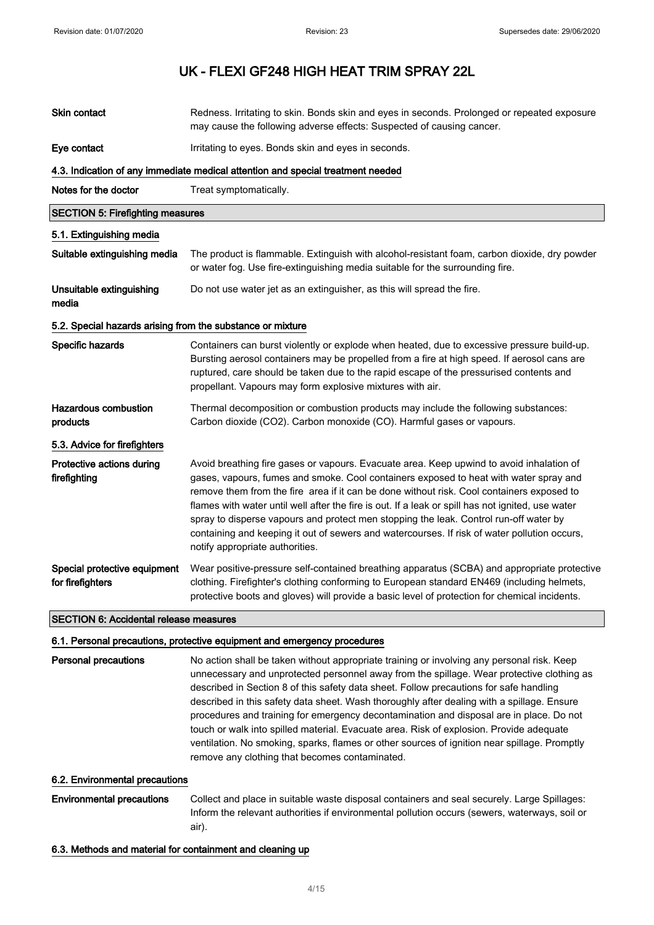| Skin contact                                               | Redness. Irritating to skin. Bonds skin and eyes in seconds. Prolonged or repeated exposure<br>may cause the following adverse effects: Suspected of causing cancer.                                                                                                                                                                                                                                                                                                                                                                                                                                                                                                                                                    |
|------------------------------------------------------------|-------------------------------------------------------------------------------------------------------------------------------------------------------------------------------------------------------------------------------------------------------------------------------------------------------------------------------------------------------------------------------------------------------------------------------------------------------------------------------------------------------------------------------------------------------------------------------------------------------------------------------------------------------------------------------------------------------------------------|
| Eye contact                                                | Irritating to eyes. Bonds skin and eyes in seconds.                                                                                                                                                                                                                                                                                                                                                                                                                                                                                                                                                                                                                                                                     |
|                                                            | 4.3. Indication of any immediate medical attention and special treatment needed                                                                                                                                                                                                                                                                                                                                                                                                                                                                                                                                                                                                                                         |
| Notes for the doctor                                       | Treat symptomatically.                                                                                                                                                                                                                                                                                                                                                                                                                                                                                                                                                                                                                                                                                                  |
| <b>SECTION 5: Firefighting measures</b>                    |                                                                                                                                                                                                                                                                                                                                                                                                                                                                                                                                                                                                                                                                                                                         |
| 5.1. Extinguishing media                                   |                                                                                                                                                                                                                                                                                                                                                                                                                                                                                                                                                                                                                                                                                                                         |
| Suitable extinguishing media                               | The product is flammable. Extinguish with alcohol-resistant foam, carbon dioxide, dry powder<br>or water fog. Use fire-extinguishing media suitable for the surrounding fire.                                                                                                                                                                                                                                                                                                                                                                                                                                                                                                                                           |
| Unsuitable extinguishing<br>media                          | Do not use water jet as an extinguisher, as this will spread the fire.                                                                                                                                                                                                                                                                                                                                                                                                                                                                                                                                                                                                                                                  |
| 5.2. Special hazards arising from the substance or mixture |                                                                                                                                                                                                                                                                                                                                                                                                                                                                                                                                                                                                                                                                                                                         |
| Specific hazards                                           | Containers can burst violently or explode when heated, due to excessive pressure build-up.<br>Bursting aerosol containers may be propelled from a fire at high speed. If aerosol cans are<br>ruptured, care should be taken due to the rapid escape of the pressurised contents and<br>propellant. Vapours may form explosive mixtures with air.                                                                                                                                                                                                                                                                                                                                                                        |
| <b>Hazardous combustion</b><br>products                    | Thermal decomposition or combustion products may include the following substances:<br>Carbon dioxide (CO2). Carbon monoxide (CO). Harmful gases or vapours.                                                                                                                                                                                                                                                                                                                                                                                                                                                                                                                                                             |
| 5.3. Advice for firefighters                               |                                                                                                                                                                                                                                                                                                                                                                                                                                                                                                                                                                                                                                                                                                                         |
| Protective actions during<br>firefighting                  | Avoid breathing fire gases or vapours. Evacuate area. Keep upwind to avoid inhalation of<br>gases, vapours, fumes and smoke. Cool containers exposed to heat with water spray and<br>remove them from the fire area if it can be done without risk. Cool containers exposed to<br>flames with water until well after the fire is out. If a leak or spill has not ignited, use water<br>spray to disperse vapours and protect men stopping the leak. Control run-off water by<br>containing and keeping it out of sewers and watercourses. If risk of water pollution occurs,<br>notify appropriate authorities.                                                                                                         |
| Special protective equipment<br>for firefighters           | Wear positive-pressure self-contained breathing apparatus (SCBA) and appropriate protective<br>clothing. Firefighter's clothing conforming to European standard EN469 (including helmets,<br>protective boots and gloves) will provide a basic level of protection for chemical incidents.                                                                                                                                                                                                                                                                                                                                                                                                                              |
| <b>SECTION 6: Accidental release measures</b>              |                                                                                                                                                                                                                                                                                                                                                                                                                                                                                                                                                                                                                                                                                                                         |
|                                                            | 6.1. Personal precautions, protective equipment and emergency procedures                                                                                                                                                                                                                                                                                                                                                                                                                                                                                                                                                                                                                                                |
| <b>Personal precautions</b>                                | No action shall be taken without appropriate training or involving any personal risk. Keep<br>unnecessary and unprotected personnel away from the spillage. Wear protective clothing as<br>described in Section 8 of this safety data sheet. Follow precautions for safe handling<br>described in this safety data sheet. Wash thoroughly after dealing with a spillage. Ensure<br>procedures and training for emergency decontamination and disposal are in place. Do not<br>touch or walk into spilled material. Evacuate area. Risk of explosion. Provide adequate<br>ventilation. No smoking, sparks, flames or other sources of ignition near spillage. Promptly<br>remove any clothing that becomes contaminated. |
| 6.2. Environmental precautions                             |                                                                                                                                                                                                                                                                                                                                                                                                                                                                                                                                                                                                                                                                                                                         |
| <b>Environmental precautions</b>                           | Collect and place in suitable waste disposal containers and seal securely. Large Spillages:<br>Inform the relevant authorities if environmental pollution occurs (sewers, waterways, soil or                                                                                                                                                                                                                                                                                                                                                                                                                                                                                                                            |

air).

## 6.3. Methods and material for containment and cleaning up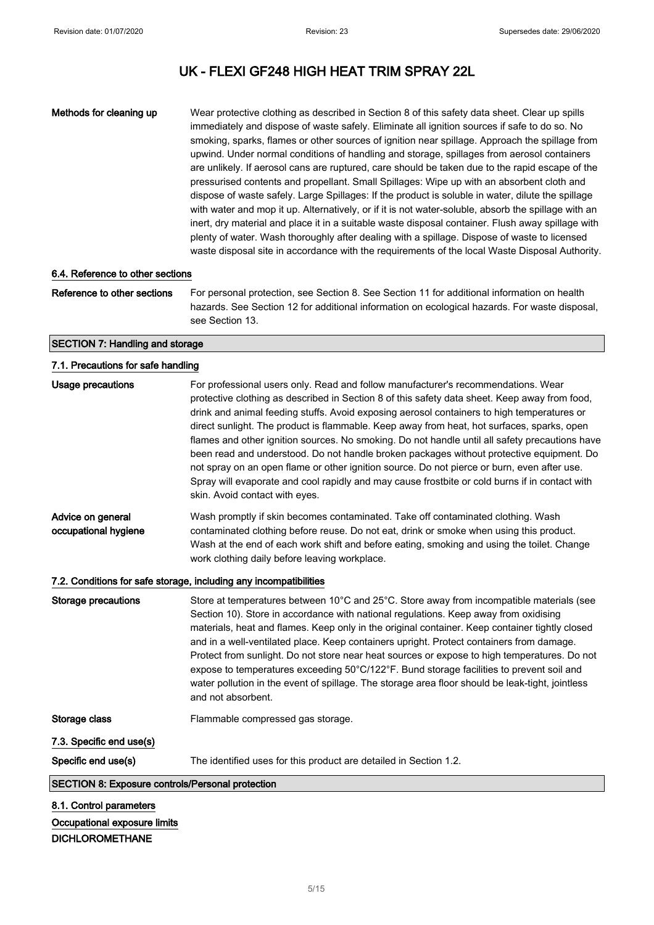Methods for cleaning up Wear protective clothing as described in Section 8 of this safety data sheet. Clear up spills immediately and dispose of waste safely. Eliminate all ignition sources if safe to do so. No smoking, sparks, flames or other sources of ignition near spillage. Approach the spillage from upwind. Under normal conditions of handling and storage, spillages from aerosol containers are unlikely. If aerosol cans are ruptured, care should be taken due to the rapid escape of the pressurised contents and propellant. Small Spillages: Wipe up with an absorbent cloth and dispose of waste safely. Large Spillages: If the product is soluble in water, dilute the spillage with water and mop it up. Alternatively, or if it is not water-soluble, absorb the spillage with an inert, dry material and place it in a suitable waste disposal container. Flush away spillage with plenty of water. Wash thoroughly after dealing with a spillage. Dispose of waste to licensed waste disposal site in accordance with the requirements of the local Waste Disposal Authority.

#### 6.4. Reference to other sections

Reference to other sections For personal protection, see Section 8. See Section 11 for additional information on health hazards. See Section 12 for additional information on ecological hazards. For waste disposal, see Section 13.

#### SECTION 7: Handling and storage

## 7.1. Precautions for safe handling Usage precautions **For professional users only. Read and follow manufacturer's recommendations. Wear** protective clothing as described in Section 8 of this safety data sheet. Keep away from food, drink and animal feeding stuffs. Avoid exposing aerosol containers to high temperatures or direct sunlight. The product is flammable. Keep away from heat, hot surfaces, sparks, open flames and other ignition sources. No smoking. Do not handle until all safety precautions have been read and understood. Do not handle broken packages without protective equipment. Do not spray on an open flame or other ignition source. Do not pierce or burn, even after use. Spray will evaporate and cool rapidly and may cause frostbite or cold burns if in contact with skin. Avoid contact with eyes. Advice on general occupational hygiene Wash promptly if skin becomes contaminated. Take off contaminated clothing. Wash contaminated clothing before reuse. Do not eat, drink or smoke when using this product. Wash at the end of each work shift and before eating, smoking and using the toilet. Change work clothing daily before leaving workplace. 7.2. Conditions for safe storage, including any incompatibilities Storage precautions Store at temperatures between 10°C and 25°C. Store away from incompatible materials (see Section 10). Store in accordance with national regulations. Keep away from oxidising materials, heat and flames. Keep only in the original container. Keep container tightly closed and in a well-ventilated place. Keep containers upright. Protect containers from damage. Protect from sunlight. Do not store near heat sources or expose to high temperatures. Do not expose to temperatures exceeding 50°C/122°F. Bund storage facilities to prevent soil and water pollution in the event of spillage. The storage area floor should be leak-tight, jointless and not absorbent. Storage class Flammable compressed gas storage. 7.3. Specific end use(s) Specific end use(s) The identified uses for this product are detailed in Section 1.2. SECTION 8: Exposure controls/Personal protection 8.1. Control parameters Occupational exposure limits

#### DICHLOROMETHANE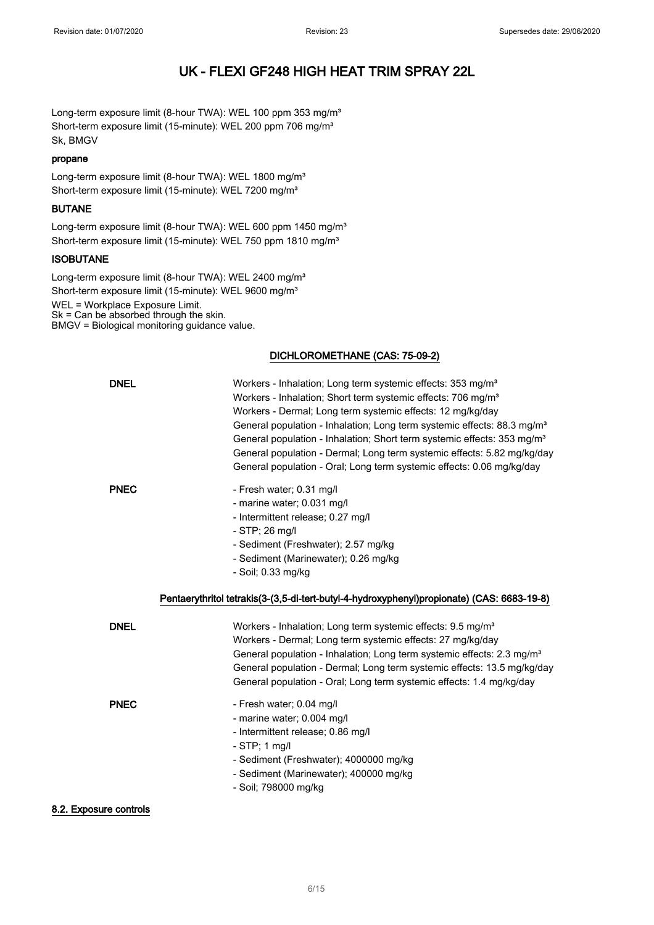Long-term exposure limit (8-hour TWA): WEL 100 ppm 353 mg/m<sup>3</sup> Short-term exposure limit (15-minute): WEL 200 ppm 706 mg/m<sup>3</sup> Sk, BMGV

#### propane

Long-term exposure limit (8-hour TWA): WEL 1800 mg/m<sup>3</sup> Short-term exposure limit (15-minute): WEL 7200 mg/m<sup>3</sup>

### BUTANE

Long-term exposure limit (8-hour TWA): WEL 600 ppm 1450 mg/m<sup>3</sup> Short-term exposure limit (15-minute): WEL 750 ppm 1810 mg/m<sup>3</sup>

## **ISOBUTANE**

Long-term exposure limit (8-hour TWA): WEL 2400 mg/m<sup>3</sup> Short-term exposure limit (15-minute): WEL 9600 mg/m<sup>3</sup> WEL = Workplace Exposure Limit. Sk = Can be absorbed through the skin. BMGV = Biological monitoring guidance value.

### DICHLOROMETHANE (CAS: 75-09-2)

| <b>DNEL</b> | Workers - Inhalation; Long term systemic effects: 353 mg/m <sup>3</sup><br>Workers - Inhalation; Short term systemic effects: 706 mg/m <sup>3</sup><br>Workers - Dermal; Long term systemic effects: 12 mg/kg/day<br>General population - Inhalation; Long term systemic effects: 88.3 mg/m <sup>3</sup><br>General population - Inhalation; Short term systemic effects: 353 mg/m <sup>3</sup><br>General population - Dermal; Long term systemic effects: 5.82 mg/kg/day<br>General population - Oral; Long term systemic effects: 0.06 mg/kg/day |
|-------------|-----------------------------------------------------------------------------------------------------------------------------------------------------------------------------------------------------------------------------------------------------------------------------------------------------------------------------------------------------------------------------------------------------------------------------------------------------------------------------------------------------------------------------------------------------|
| <b>PNEC</b> | - Fresh water; 0.31 mg/l<br>- marine water; 0.031 mg/l<br>- Intermittent release; 0.27 mg/l<br>- STP; 26 mg/l<br>- Sediment (Freshwater); 2.57 mg/kg<br>- Sediment (Marinewater); 0.26 mg/kg<br>- Soil; 0.33 mg/kg<br>Pentaerythritol tetrakis(3-(3,5-di-tert-butyl-4-hydroxyphenyl)propionate) (CAS: 6683-19-8)                                                                                                                                                                                                                                    |
| <b>DNEL</b> | Workers - Inhalation; Long term systemic effects: 9.5 mg/m <sup>3</sup><br>Workers - Dermal; Long term systemic effects: 27 mg/kg/day<br>General population - Inhalation; Long term systemic effects: 2.3 mg/m <sup>3</sup><br>General population - Dermal; Long term systemic effects: 13.5 mg/kg/day<br>General population - Oral; Long term systemic effects: 1.4 mg/kg/day                                                                                                                                                                      |
| <b>PNEC</b> | - Fresh water; 0.04 mg/l<br>- marine water; 0.004 mg/l                                                                                                                                                                                                                                                                                                                                                                                                                                                                                              |

### 8.2. Exposure controls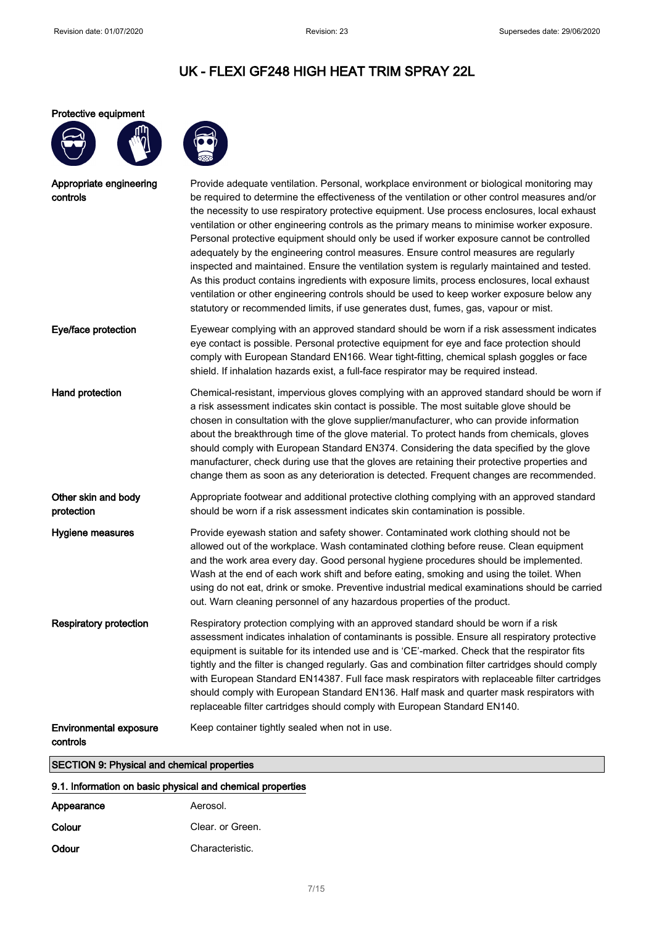### Protective equipment



| Appropriate engineering<br>controls       | Provide adequate ventilation. Personal, workplace environment or biological monitoring may<br>be required to determine the effectiveness of the ventilation or other control measures and/or<br>the necessity to use respiratory protective equipment. Use process enclosures, local exhaust<br>ventilation or other engineering controls as the primary means to minimise worker exposure.<br>Personal protective equipment should only be used if worker exposure cannot be controlled<br>adequately by the engineering control measures. Ensure control measures are regularly<br>inspected and maintained. Ensure the ventilation system is regularly maintained and tested.<br>As this product contains ingredients with exposure limits, process enclosures, local exhaust<br>ventilation or other engineering controls should be used to keep worker exposure below any<br>statutory or recommended limits, if use generates dust, fumes, gas, vapour or mist. |
|-------------------------------------------|-----------------------------------------------------------------------------------------------------------------------------------------------------------------------------------------------------------------------------------------------------------------------------------------------------------------------------------------------------------------------------------------------------------------------------------------------------------------------------------------------------------------------------------------------------------------------------------------------------------------------------------------------------------------------------------------------------------------------------------------------------------------------------------------------------------------------------------------------------------------------------------------------------------------------------------------------------------------------|
| Eye/face protection                       | Eyewear complying with an approved standard should be worn if a risk assessment indicates<br>eye contact is possible. Personal protective equipment for eye and face protection should<br>comply with European Standard EN166. Wear tight-fitting, chemical splash goggles or face<br>shield. If inhalation hazards exist, a full-face respirator may be required instead.                                                                                                                                                                                                                                                                                                                                                                                                                                                                                                                                                                                            |
| Hand protection                           | Chemical-resistant, impervious gloves complying with an approved standard should be worn if<br>a risk assessment indicates skin contact is possible. The most suitable glove should be<br>chosen in consultation with the glove supplier/manufacturer, who can provide information<br>about the breakthrough time of the glove material. To protect hands from chemicals, gloves<br>should comply with European Standard EN374. Considering the data specified by the glove<br>manufacturer, check during use that the gloves are retaining their protective properties and<br>change them as soon as any deterioration is detected. Frequent changes are recommended.                                                                                                                                                                                                                                                                                                |
| Other skin and body<br>protection         | Appropriate footwear and additional protective clothing complying with an approved standard<br>should be worn if a risk assessment indicates skin contamination is possible.                                                                                                                                                                                                                                                                                                                                                                                                                                                                                                                                                                                                                                                                                                                                                                                          |
| Hygiene measures                          | Provide eyewash station and safety shower. Contaminated work clothing should not be<br>allowed out of the workplace. Wash contaminated clothing before reuse. Clean equipment<br>and the work area every day. Good personal hygiene procedures should be implemented.<br>Wash at the end of each work shift and before eating, smoking and using the toilet. When<br>using do not eat, drink or smoke. Preventive industrial medical examinations should be carried<br>out. Warn cleaning personnel of any hazardous properties of the product.                                                                                                                                                                                                                                                                                                                                                                                                                       |
| <b>Respiratory protection</b>             | Respiratory protection complying with an approved standard should be worn if a risk<br>assessment indicates inhalation of contaminants is possible. Ensure all respiratory protective<br>equipment is suitable for its intended use and is 'CE'-marked. Check that the respirator fits<br>tightly and the filter is changed regularly. Gas and combination filter cartridges should comply<br>with European Standard EN14387. Full face mask respirators with replaceable filter cartridges<br>should comply with European Standard EN136. Half mask and quarter mask respirators with<br>replaceable filter cartridges should comply with European Standard EN140.                                                                                                                                                                                                                                                                                                   |
| <b>Environmental exposure</b><br>controls | Keep container tightly sealed when not in use.                                                                                                                                                                                                                                                                                                                                                                                                                                                                                                                                                                                                                                                                                                                                                                                                                                                                                                                        |
|                                           |                                                                                                                                                                                                                                                                                                                                                                                                                                                                                                                                                                                                                                                                                                                                                                                                                                                                                                                                                                       |

## SECTION 9: Physical and chemical properties

## 9.1. Information on basic physical and chemical properties

| Appearance | Aerosol.         |
|------------|------------------|
| Colour     | Clear, or Green. |
| Odour      | Characteristic.  |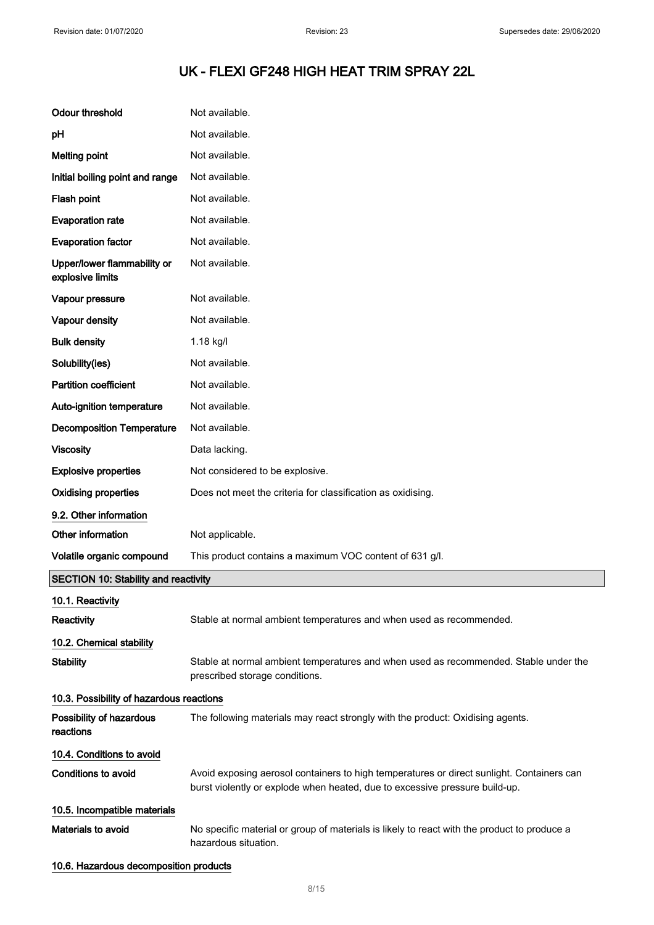| <b>Odour threshold</b>                          | Not available.                                                                                                                                                           |
|-------------------------------------------------|--------------------------------------------------------------------------------------------------------------------------------------------------------------------------|
| рH                                              | Not available.                                                                                                                                                           |
| <b>Melting point</b>                            | Not available.                                                                                                                                                           |
| Initial boiling point and range                 | Not available.                                                                                                                                                           |
| Flash point                                     | Not available.                                                                                                                                                           |
| <b>Evaporation rate</b>                         | Not available.                                                                                                                                                           |
| <b>Evaporation factor</b>                       | Not available.                                                                                                                                                           |
| Upper/lower flammability or<br>explosive limits | Not available.                                                                                                                                                           |
| Vapour pressure                                 | Not available.                                                                                                                                                           |
| Vapour density                                  | Not available.                                                                                                                                                           |
| <b>Bulk density</b>                             | 1.18 kg/l                                                                                                                                                                |
| Solubility(ies)                                 | Not available.                                                                                                                                                           |
| <b>Partition coefficient</b>                    | Not available.                                                                                                                                                           |
| Auto-ignition temperature                       | Not available.                                                                                                                                                           |
| <b>Decomposition Temperature</b>                | Not available.                                                                                                                                                           |
| <b>Viscosity</b>                                | Data lacking.                                                                                                                                                            |
| <b>Explosive properties</b>                     | Not considered to be explosive.                                                                                                                                          |
| <b>Oxidising properties</b>                     | Does not meet the criteria for classification as oxidising.                                                                                                              |
| 9.2. Other information                          |                                                                                                                                                                          |
| Other information                               | Not applicable.                                                                                                                                                          |
| Volatile organic compound                       | This product contains a maximum VOC content of 631 g/l.                                                                                                                  |
| <b>SECTION 10: Stability and reactivity</b>     |                                                                                                                                                                          |
| 10.1. Reactivity                                |                                                                                                                                                                          |
| Reactivity                                      | Stable at normal ambient temperatures and when used as recommended.                                                                                                      |
| 10.2. Chemical stability                        |                                                                                                                                                                          |
| <b>Stability</b>                                | Stable at normal ambient temperatures and when used as recommended. Stable under the<br>prescribed storage conditions.                                                   |
| 10.3. Possibility of hazardous reactions        |                                                                                                                                                                          |
| Possibility of hazardous<br>reactions           | The following materials may react strongly with the product: Oxidising agents.                                                                                           |
| 10.4. Conditions to avoid                       |                                                                                                                                                                          |
| Conditions to avoid                             | Avoid exposing aerosol containers to high temperatures or direct sunlight. Containers can<br>burst violently or explode when heated, due to excessive pressure build-up. |
| 10.5. Incompatible materials                    |                                                                                                                                                                          |
| <b>Materials to avoid</b>                       | No specific material or group of materials is likely to react with the product to produce a<br>hazardous situation.                                                      |
| 10.6. Hazardous decomposition products          |                                                                                                                                                                          |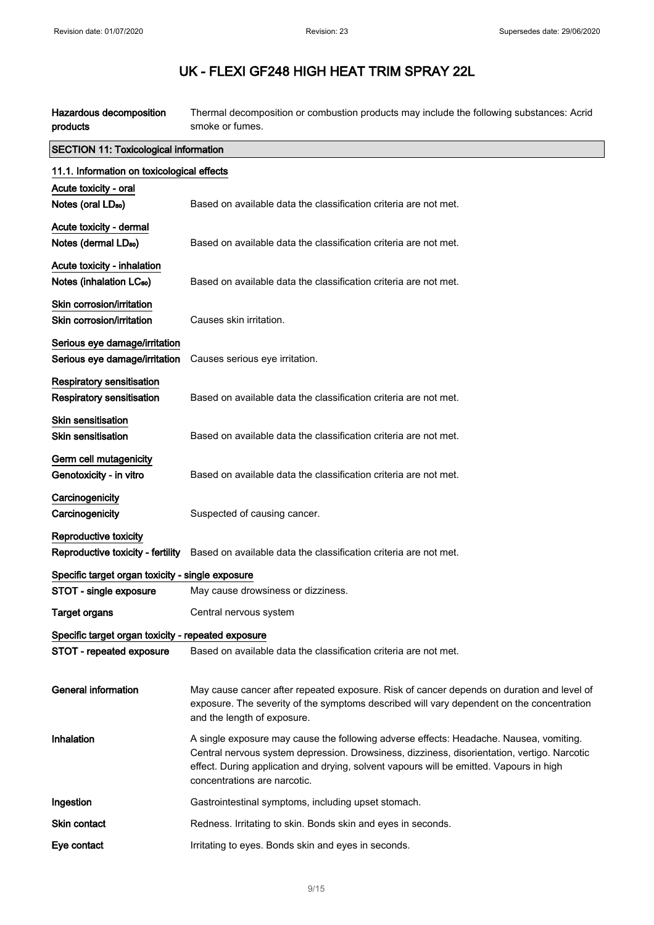| Hazardous decomposition<br>products                                 | Thermal decomposition or combustion products may include the following substances: Acrid<br>smoke or fumes.                                                                                                                                                                                                      |
|---------------------------------------------------------------------|------------------------------------------------------------------------------------------------------------------------------------------------------------------------------------------------------------------------------------------------------------------------------------------------------------------|
| <b>SECTION 11: Toxicological information</b>                        |                                                                                                                                                                                                                                                                                                                  |
| 11.1. Information on toxicological effects                          |                                                                                                                                                                                                                                                                                                                  |
| Acute toxicity - oral<br>Notes (oral LD <sub>50</sub> )             | Based on available data the classification criteria are not met.                                                                                                                                                                                                                                                 |
| Acute toxicity - dermal<br>Notes (dermal LD <sub>50</sub> )         | Based on available data the classification criteria are not met.                                                                                                                                                                                                                                                 |
| Acute toxicity - inhalation<br>Notes (inhalation LC <sub>50</sub> ) | Based on available data the classification criteria are not met.                                                                                                                                                                                                                                                 |
| Skin corrosion/irritation<br>Skin corrosion/irritation              | Causes skin irritation.                                                                                                                                                                                                                                                                                          |
| Serious eye damage/irritation<br>Serious eye damage/irritation      | Causes serious eye irritation.                                                                                                                                                                                                                                                                                   |
| Respiratory sensitisation<br><b>Respiratory sensitisation</b>       | Based on available data the classification criteria are not met.                                                                                                                                                                                                                                                 |
| <b>Skin sensitisation</b><br><b>Skin sensitisation</b>              | Based on available data the classification criteria are not met.                                                                                                                                                                                                                                                 |
| Germ cell mutagenicity<br>Genotoxicity - in vitro                   | Based on available data the classification criteria are not met.                                                                                                                                                                                                                                                 |
| Carcinogenicity<br>Carcinogenicity                                  | Suspected of causing cancer.                                                                                                                                                                                                                                                                                     |
| Reproductive toxicity<br>Reproductive toxicity - fertility          | Based on available data the classification criteria are not met.                                                                                                                                                                                                                                                 |
| Specific target organ toxicity - single exposure                    |                                                                                                                                                                                                                                                                                                                  |
| STOT - single exposure                                              | May cause drowsiness or dizziness.                                                                                                                                                                                                                                                                               |
| <b>Target organs</b>                                                | Central nervous system                                                                                                                                                                                                                                                                                           |
| Specific target organ toxicity - repeated exposure                  |                                                                                                                                                                                                                                                                                                                  |
| STOT - repeated exposure                                            | Based on available data the classification criteria are not met.                                                                                                                                                                                                                                                 |
| <b>General information</b>                                          | May cause cancer after repeated exposure. Risk of cancer depends on duration and level of<br>exposure. The severity of the symptoms described will vary dependent on the concentration<br>and the length of exposure.                                                                                            |
| Inhalation                                                          | A single exposure may cause the following adverse effects: Headache. Nausea, vomiting.<br>Central nervous system depression. Drowsiness, dizziness, disorientation, vertigo. Narcotic<br>effect. During application and drying, solvent vapours will be emitted. Vapours in high<br>concentrations are narcotic. |
| Ingestion                                                           | Gastrointestinal symptoms, including upset stomach.                                                                                                                                                                                                                                                              |
| <b>Skin contact</b>                                                 | Redness. Irritating to skin. Bonds skin and eyes in seconds.                                                                                                                                                                                                                                                     |
| Eye contact                                                         | Irritating to eyes. Bonds skin and eyes in seconds.                                                                                                                                                                                                                                                              |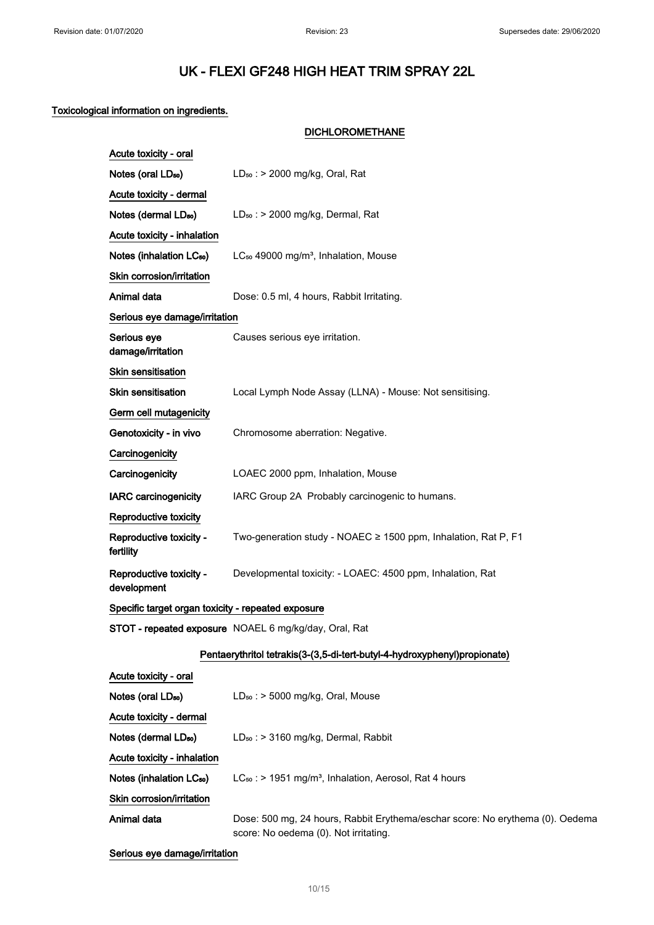DICHLOROMETHANE

## Toxicological information on ingredients.

| Acute toxicity - oral                              |                                                                           |  |
|----------------------------------------------------|---------------------------------------------------------------------------|--|
| Notes (oral LD <sub>50</sub> )                     | $LD_{50}$ : > 2000 mg/kg, Oral, Rat                                       |  |
| Acute toxicity - dermal                            |                                                                           |  |
| Notes (dermal LD <sub>50</sub> )                   | $LD_{50}$ : > 2000 mg/kg, Dermal, Rat                                     |  |
| Acute toxicity - inhalation                        |                                                                           |  |
| Notes (inhalation LC <sub>50</sub> )               | LC <sub>50</sub> 49000 mg/m <sup>3</sup> , Inhalation, Mouse              |  |
| Skin corrosion/irritation                          |                                                                           |  |
| Animal data                                        | Dose: 0.5 ml, 4 hours, Rabbit Irritating.                                 |  |
| Serious eye damage/irritation                      |                                                                           |  |
| Serious eye<br>damage/irritation                   | Causes serious eye irritation.                                            |  |
| <b>Skin sensitisation</b>                          |                                                                           |  |
| <b>Skin sensitisation</b>                          | Local Lymph Node Assay (LLNA) - Mouse: Not sensitising.                   |  |
| Germ cell mutagenicity                             |                                                                           |  |
| Genotoxicity - in vivo                             | Chromosome aberration: Negative.                                          |  |
| Carcinogenicity                                    |                                                                           |  |
| Carcinogenicity                                    | LOAEC 2000 ppm, Inhalation, Mouse                                         |  |
| <b>IARC carcinogenicity</b>                        | IARC Group 2A Probably carcinogenic to humans.                            |  |
| Reproductive toxicity                              |                                                                           |  |
| Reproductive toxicity -<br>fertility               | Two-generation study - NOAEC ≥ 1500 ppm, Inhalation, Rat P, F1            |  |
| Reproductive toxicity -<br>development             | Developmental toxicity: - LOAEC: 4500 ppm, Inhalation, Rat                |  |
| Specific target organ toxicity - repeated exposure |                                                                           |  |
|                                                    | STOT - repeated exposure NOAEL 6 mg/kg/day, Oral, Rat                     |  |
|                                                    | Pentaerythritol tetrakis(3-(3,5-di-tert-butyl-4-hydroxyphenyl)propionate) |  |
| Acute tovicity - oral                              |                                                                           |  |

| Acute toxicity - oral                |                                                                                                                        |
|--------------------------------------|------------------------------------------------------------------------------------------------------------------------|
| Notes (oral LD <sub>50</sub> )       | $LD_{50}$ : > 5000 mg/kg, Oral, Mouse                                                                                  |
| Acute toxicity - dermal              |                                                                                                                        |
| Notes (dermal LD <sub>50</sub> )     | $LD_{50}$ : > 3160 mg/kg, Dermal, Rabbit                                                                               |
| Acute toxicity - inhalation          |                                                                                                                        |
| Notes (inhalation LC <sub>50</sub> ) | $LC_{50}$ : > 1951 mg/m <sup>3</sup> , Inhalation, Aerosol, Rat 4 hours                                                |
| Skin corrosion/irritation            |                                                                                                                        |
| Animal data                          | Dose: 500 mg, 24 hours, Rabbit Erythema/eschar score: No erythema (0). Oedema<br>score: No oedema (0). Not irritating. |

Serious eye damage/irritation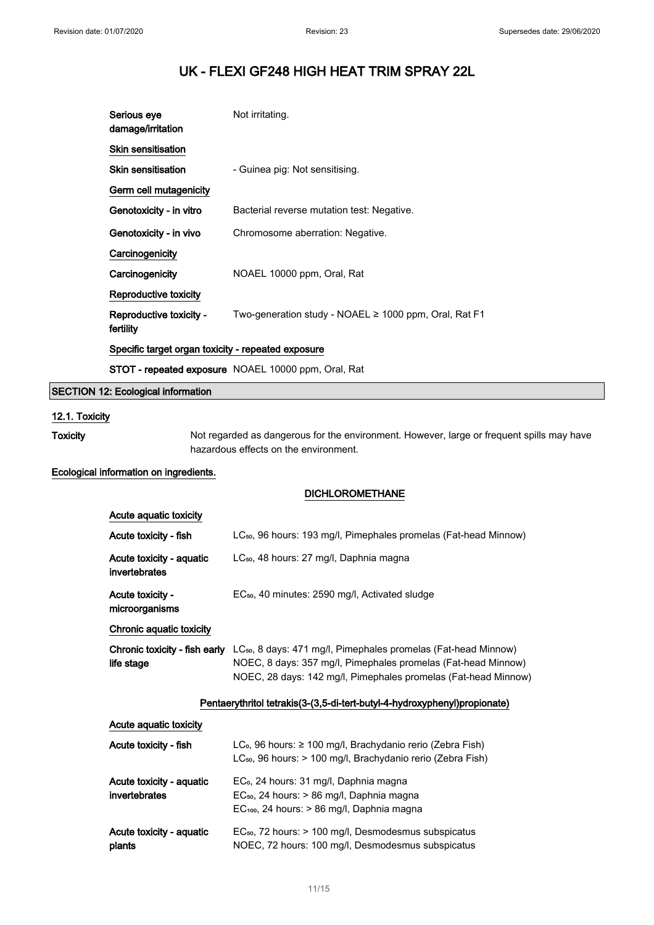| Serious eye<br>damage/irritation                   | Not irritating.                                            |
|----------------------------------------------------|------------------------------------------------------------|
| <b>Skin sensitisation</b>                          |                                                            |
| <b>Skin sensitisation</b>                          | - Guinea pig: Not sensitising.                             |
| Germ cell mutagenicity                             |                                                            |
| Genotoxicity - in vitro                            | Bacterial reverse mutation test: Negative.                 |
| Genotoxicity - in vivo                             | Chromosome aberration: Negative.                           |
| Carcinogenicity                                    |                                                            |
| Carcinogenicity                                    | NOAEL 10000 ppm, Oral, Rat                                 |
| Reproductive toxicity                              |                                                            |
| Reproductive toxicity -<br>fertility               | Two-generation study - NOAEL $\ge$ 1000 ppm, Oral, Rat F1  |
| Specific target organ toxicity - repeated exposure |                                                            |
|                                                    | <b>STOT - repeated exposure</b> NOAEL 10000 ppm, Oral, Rat |

## SECTION 12: Ecological information

## 12.1. Toxicity

Toxicity Not regarded as dangerous for the environment. However, large or frequent spills may have hazardous effects on the environment.

## Ecological information on ingredients.

### DICHLOROMETHANE

| Acute aguatic toxicity                      |                                                                                                                                                                                                               |
|---------------------------------------------|---------------------------------------------------------------------------------------------------------------------------------------------------------------------------------------------------------------|
| Acute toxicity - fish                       | LC <sub>50</sub> , 96 hours: 193 mg/l, Pimephales promelas (Fat-head Minnow)                                                                                                                                  |
| Acute toxicity - aquatic<br>invertebrates   | LC <sub>50</sub> , 48 hours: 27 mg/l, Daphnia magna                                                                                                                                                           |
| Acute toxicity -<br>microorganisms          | EC <sub>50</sub> , 40 minutes: 2590 mg/l, Activated sludge                                                                                                                                                    |
| Chronic aquatic toxicity                    |                                                                                                                                                                                                               |
| Chronic toxicity - fish early<br>life stage | LC <sub>50</sub> , 8 days: 471 mg/l, Pimephales promelas (Fat-head Minnow)<br>NOEC, 8 days: 357 mg/l, Pimephales promelas (Fat-head Minnow)<br>NOEC, 28 days: 142 mg/l, Pimephales promelas (Fat-head Minnow) |

## Pentaerythritol tetrakis(3-(3,5-di-tert-butyl-4-hydroxyphenyl)propionate)

| Acute aquatic toxicity                    |                                                                                                                                                               |
|-------------------------------------------|---------------------------------------------------------------------------------------------------------------------------------------------------------------|
| Acute toxicity - fish                     | LC <sub>o</sub> , 96 hours: $\geq 100$ mg/l, Brachydanio rerio (Zebra Fish)<br>LC <sub>50</sub> , 96 hours: > 100 mg/l, Brachydanio rerio (Zebra Fish)        |
| Acute toxicity - aquatic<br>invertebrates | EC <sub>o</sub> , 24 hours: 31 mg/l, Daphnia magna<br>EC <sub>50</sub> , 24 hours: > 86 mg/l, Daphnia magna<br>$EC100$ , 24 hours: $> 86$ mg/l, Daphnia magna |
| Acute toxicity - aquatic<br>plants        | EC <sub>50</sub> , 72 hours: > 100 mg/l, Desmodesmus subspicatus<br>NOEC, 72 hours: 100 mg/l, Desmodesmus subspicatus                                         |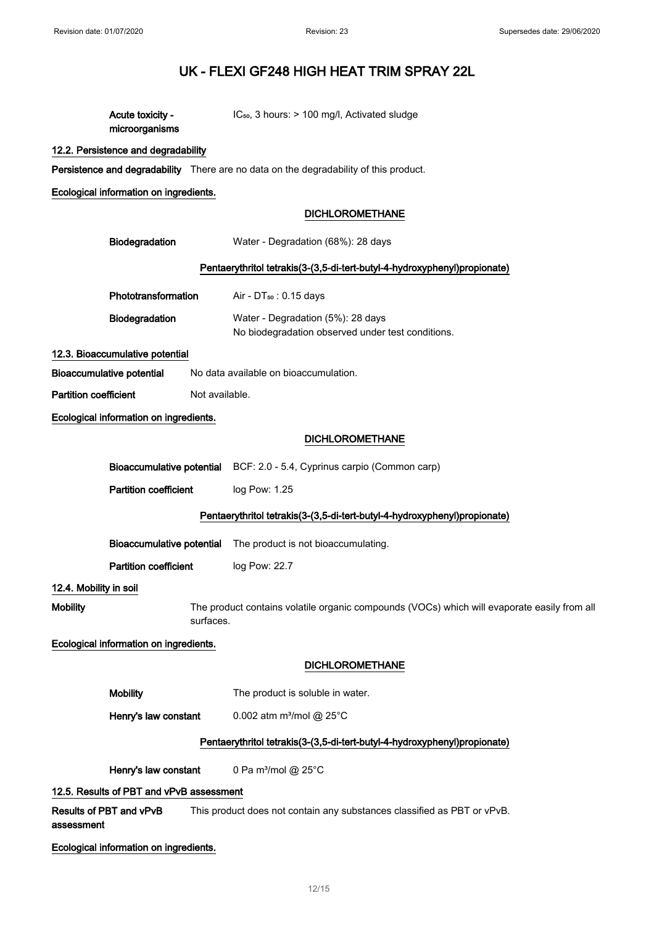| Acute toxicity -<br>microorganisms       |                | $IC_{50}$ , 3 hours: $> 100$ mg/l, Activated sludge                                         |  |
|------------------------------------------|----------------|---------------------------------------------------------------------------------------------|--|
| 12.2. Persistence and degradability      |                |                                                                                             |  |
|                                          |                | Persistence and degradability There are no data on the degradability of this product.       |  |
| Ecological information on ingredients.   |                |                                                                                             |  |
|                                          |                | <b>DICHLOROMETHANE</b>                                                                      |  |
| Biodegradation                           |                | Water - Degradation (68%): 28 days                                                          |  |
|                                          |                | Pentaerythritol tetrakis(3-(3,5-di-tert-butyl-4-hydroxyphenyl)propionate)                   |  |
| Phototransformation                      |                | Air - $DT_{50}$ : 0.15 days                                                                 |  |
| Biodegradation                           |                | Water - Degradation (5%): 28 days<br>No biodegradation observed under test conditions.      |  |
| 12.3. Bioaccumulative potential          |                |                                                                                             |  |
| Bioaccumulative potential                |                | No data available on bioaccumulation.                                                       |  |
| <b>Partition coefficient</b>             | Not available. |                                                                                             |  |
| Ecological information on ingredients.   |                |                                                                                             |  |
|                                          |                | <b>DICHLOROMETHANE</b>                                                                      |  |
|                                          |                | Bioaccumulative potential BCF: 2.0 - 5.4, Cyprinus carpio (Common carp)                     |  |
| <b>Partition coefficient</b>             |                | log Pow: 1.25                                                                               |  |
|                                          |                | Pentaerythritol tetrakis(3-(3,5-di-tert-butyl-4-hydroxyphenyl)propionate)                   |  |
| <b>Bioaccumulative potential</b>         |                | The product is not bioaccumulating.                                                         |  |
| <b>Partition coefficient</b>             |                | log Pow: 22.7                                                                               |  |
| 12.4. Mobility in soil                   |                |                                                                                             |  |
| <b>Mobility</b>                          | surfaces.      | The product contains volatile organic compounds (VOCs) which will evaporate easily from all |  |
| Ecological information on ingredients.   |                |                                                                                             |  |
|                                          |                | <b>DICHLOROMETHANE</b>                                                                      |  |
| <b>Mobility</b>                          |                | The product is soluble in water.                                                            |  |
| Henry's law constant                     |                | 0.002 atm m <sup>3</sup> /mol @ 25°C                                                        |  |
|                                          |                | Pentaerythritol tetrakis(3-(3,5-di-tert-butyl-4-hydroxyphenyl)propionate)                   |  |
| Henry's law constant                     |                | 0 Pa m <sup>3</sup> /mol @ 25°C                                                             |  |
| 12.5. Results of PBT and vPvB assessment |                |                                                                                             |  |
| Results of PBT and vPvB<br>assessment    |                | This product does not contain any substances classified as PBT or vPvB.                     |  |
| Ecological information on ingredients.   |                |                                                                                             |  |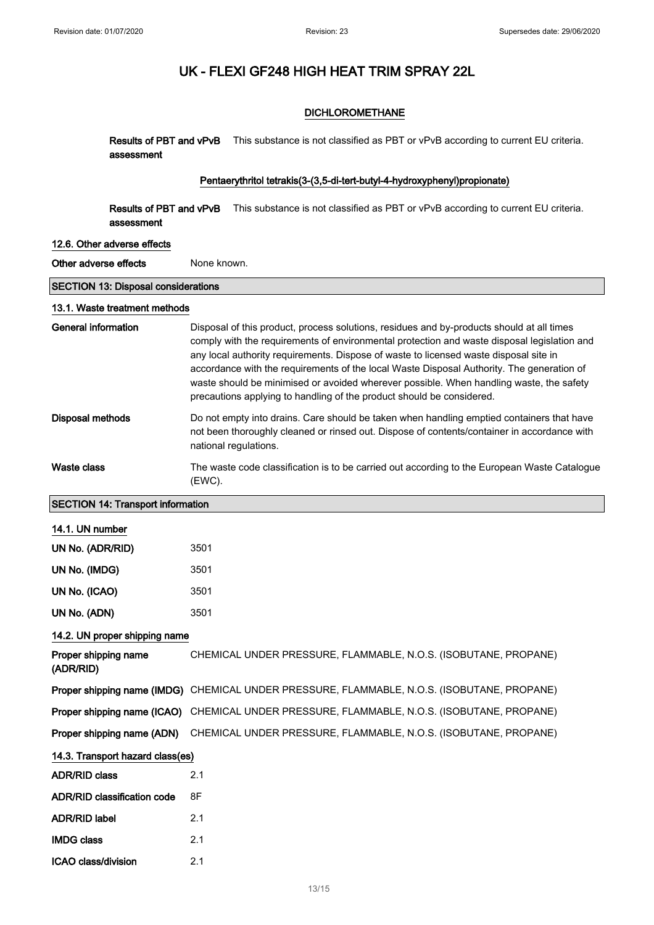## DICHLOROMETHANE

Results of PBT and vPvB This substance is not classified as PBT or vPvB according to current EU criteria. assessment

### Pentaerythritol tetrakis(3-(3,5-di-tert-butyl-4-hydroxyphenyl)propionate)

Results of PBT and vPvB This substance is not classified as PBT or vPvB according to current EU criteria. assessment

#### 12.6. Other adverse effects

Other adverse effects None known.

## SECTION 13: Disposal considerations

#### 13.1. Waste treatment methods

| General information | Disposal of this product, process solutions, residues and by-products should at all times<br>comply with the requirements of environmental protection and waste disposal legislation and<br>any local authority requirements. Dispose of waste to licensed waste disposal site in<br>accordance with the requirements of the local Waste Disposal Authority. The generation of<br>waste should be minimised or avoided wherever possible. When handling waste, the safety<br>precautions applying to handling of the product should be considered. |
|---------------------|----------------------------------------------------------------------------------------------------------------------------------------------------------------------------------------------------------------------------------------------------------------------------------------------------------------------------------------------------------------------------------------------------------------------------------------------------------------------------------------------------------------------------------------------------|
| Disposal methods    | Do not empty into drains. Care should be taken when handling emptied containers that have<br>not been thoroughly cleaned or rinsed out. Dispose of contents/container in accordance with<br>national regulations.                                                                                                                                                                                                                                                                                                                                  |
| Waste class         | The waste code classification is to be carried out according to the European Waste Catalogue<br>(EWC).                                                                                                                                                                                                                                                                                                                                                                                                                                             |

## SECTION 14: Transport information

| 14.1. UN number                    |                                                                                             |
|------------------------------------|---------------------------------------------------------------------------------------------|
| UN No. (ADR/RID)                   | 3501                                                                                        |
| UN No. (IMDG)                      | 3501                                                                                        |
| UN No. (ICAO)                      | 3501                                                                                        |
| UN No. (ADN)                       | 3501                                                                                        |
| 14.2. UN proper shipping name      |                                                                                             |
| Proper shipping name<br>(ADR/RID)  | CHEMICAL UNDER PRESSURE, FLAMMABLE, N.O.S. (ISOBUTANE, PROPANE)                             |
|                                    | Proper shipping name (IMDG) CHEMICAL UNDER PRESSURE, FLAMMABLE, N.O.S. (ISOBUTANE, PROPANE) |
|                                    | Proper shipping name (ICAO) CHEMICAL UNDER PRESSURE, FLAMMABLE, N.O.S. (ISOBUTANE, PROPANE) |
|                                    | Proper shipping name (ADN) CHEMICAL UNDER PRESSURE, FLAMMABLE, N.O.S. (ISOBUTANE, PROPANE)  |
| 14.3. Transport hazard class(es)   |                                                                                             |
| ADR/RID class                      | 2.1                                                                                         |
| <b>ADR/RID classification code</b> | 8F                                                                                          |
| <b>ADR/RID label</b>               | 2.1                                                                                         |
| <b>IMDG class</b>                  | 2.1                                                                                         |
| ICAO class/division                | 2.1                                                                                         |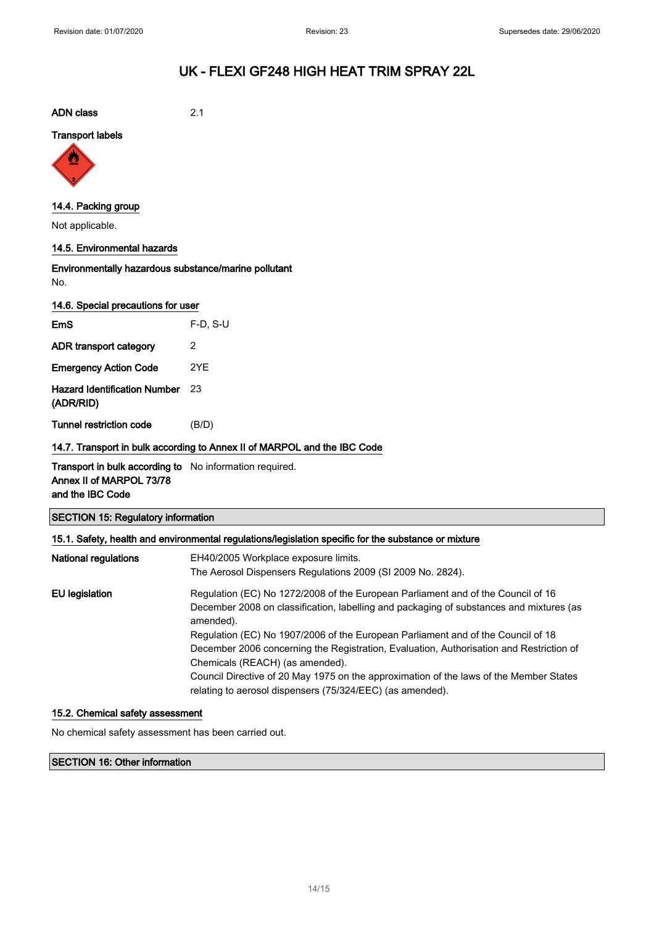ADN class 2.1

Transport labels



## 14.4. Packing group

Not applicable.

## 14.5. Environmental hazards

Environmentally hazardous substance/marine pollutant No.

|  | 14.6. Special precautions for user |  |
|--|------------------------------------|--|
|  |                                    |  |

| <b>EmS</b>                                       | $F-D. S-U$ |
|--------------------------------------------------|------------|
| ADR transport category                           | 2          |
| <b>Emergency Action Code</b>                     | 2YE        |
| <b>Hazard Identification Number</b><br>(ADR/RID) | 23         |
| <b>Tunnel restriction code</b>                   | (B/D)      |

14.7. Transport in bulk according to Annex II of MARPOL and the IBC Code

**Transport in bulk according to** No information required. Annex II of MARPOL 73/78 and the IBC Code

|  |  |  | <b>SECTION 15: Regulatory information</b> |
|--|--|--|-------------------------------------------|
|--|--|--|-------------------------------------------|

| National regulations | EH40/2005 Workplace exposure limits.                                                                 |  |  |
|----------------------|------------------------------------------------------------------------------------------------------|--|--|
|                      | The Aerosol Dispensers Regulations 2009 (SI 2009 No. 2824).                                          |  |  |
| EU legislation       | Regulation (EC) No 1272/2008 of the European Parliament and of the Council of 16                     |  |  |
|                      | December 2008 on classification, labelling and packaging of substances and mixtures (as<br>amended). |  |  |
|                      | Regulation (EC) No 1907/2006 of the European Parliament and of the Council of 18                     |  |  |
|                      | December 2006 concerning the Registration, Evaluation, Authorisation and Restriction of              |  |  |
|                      | Chemicals (REACH) (as amended).                                                                      |  |  |
|                      | Council Directive of 20 May 1975 on the approximation of the laws of the Member States               |  |  |
|                      | relating to aerosol dispensers (75/324/EEC) (as amended).                                            |  |  |

### 15.2. Chemical safety assessment

No chemical safety assessment has been carried out.

SECTION 16: Other information